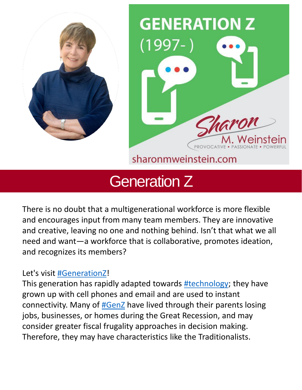



## sharonmweinstein.com

# Generation Z

There is no doubt that a multigenerational workforce is more flexible and encourages input from many team members. They are innovative and creative, leaving no one and nothing behind. Isn't that what we all need and want—a workforce that is collaborative, promotes ideation, and recognizes its members?

## Let's visit [#GenerationZ](https://www.linkedin.com/feed/hashtag/?keywords=generationz&highlightedUpdateUrns=urn%3Ali%3Aactivity%3A6934821567839318016)!

This generation has rapidly adapted towards [#technology](https://www.linkedin.com/feed/hashtag/?keywords=technology&highlightedUpdateUrns=urn%3Ali%3Aactivity%3A6934821567839318016); they have grown up with cell phones and email and are used to instant connectivity. Many of **[#GenZ](https://www.linkedin.com/feed/hashtag/?keywords=genz&highlightedUpdateUrns=urn%3Ali%3Aactivity%3A6934821567839318016)** have lived through their parents losing jobs, businesses, or homes during the Great Recession, and may consider greater fiscal frugality approaches in decision making. Therefore, they may have characteristics like the Traditionalists.